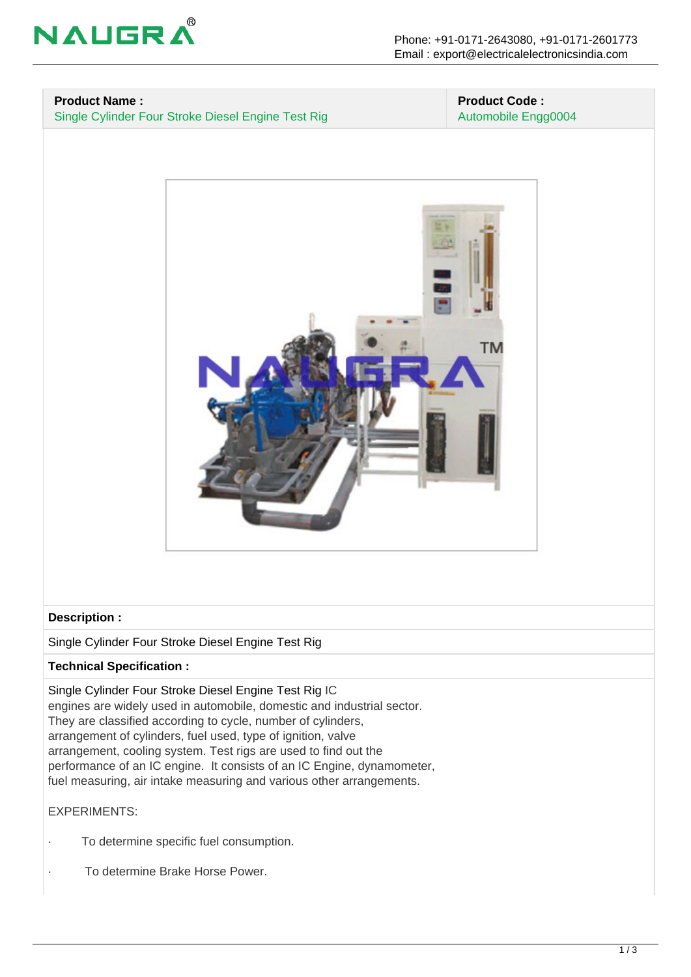

# **Product Name :**

Single Cylinder Four Stroke Diesel Engine Test Rig

#### **Product Code :** Automobile Engg0004



#### **Description :**

Single Cylinder Four Stroke Diesel Engine Test Rig

## **Technical Specification :**

Single Cylinder Four Stroke Diesel Engine Test Rig IC engines are widely used in automobile, domestic and industrial sector. They are classified according to cycle, number of cylinders, arrangement of cylinders, fuel used, type of ignition, valve arrangement, cooling system. Test rigs are used to find out the performance of an IC engine. It consists of an IC Engine, dynamometer, fuel measuring, air intake measuring and various other arrangements.

### EXPERIMENTS:

- To determine specific fuel consumption.
- · To determine Brake Horse Power.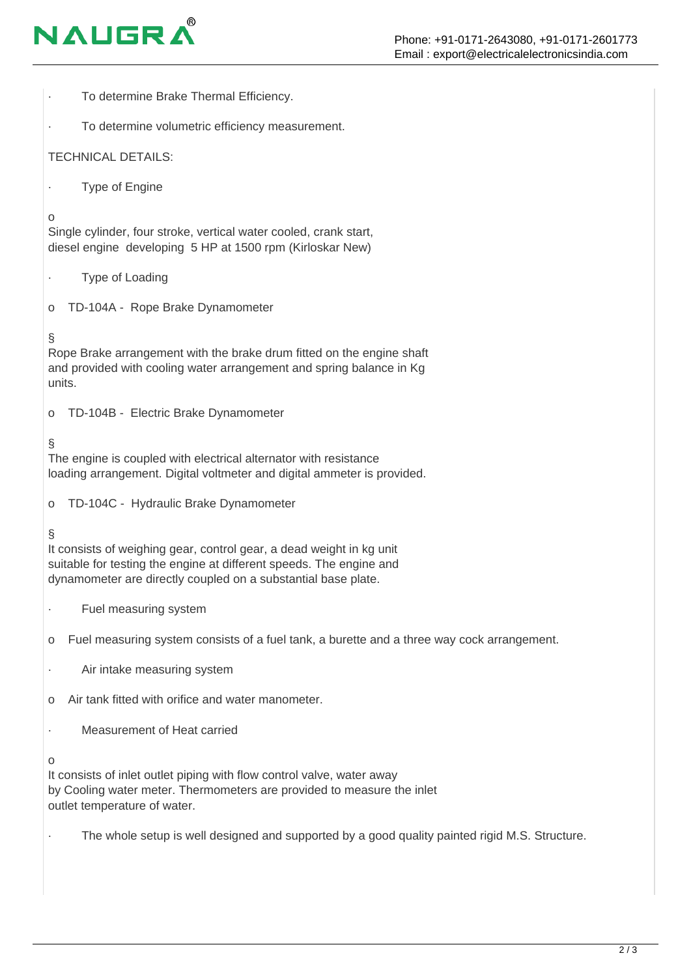# **NAUGR**

o

§

§

§

o

· To determine Brake Thermal Efficiency. To determine volumetric efficiency measurement. TECHNICAL DETAILS: **Type of Engine** Single cylinder, four stroke, vertical water cooled, crank start, diesel engine developing 5 HP at 1500 rpm (Kirloskar New) Type of Loading o TD-104A - Rope Brake Dynamometer Rope Brake arrangement with the brake drum fitted on the engine shaft and provided with cooling water arrangement and spring balance in Kg units. o TD-104B - Electric Brake Dynamometer The engine is coupled with electrical alternator with resistance loading arrangement. Digital voltmeter and digital ammeter is provided. o TD-104C - Hydraulic Brake Dynamometer It consists of weighing gear, control gear, a dead weight in kg unit suitable for testing the engine at different speeds. The engine and dynamometer are directly coupled on a substantial base plate. Fuel measuring system o Fuel measuring system consists of a fuel tank, a burette and a three way cock arrangement. · Air intake measuring system o Air tank fitted with orifice and water manometer. Measurement of Heat carried

It consists of inlet outlet piping with flow control valve, water away by Cooling water meter. Thermometers are provided to measure the inlet outlet temperature of water.

The whole setup is well designed and supported by a good quality painted rigid M.S. Structure.